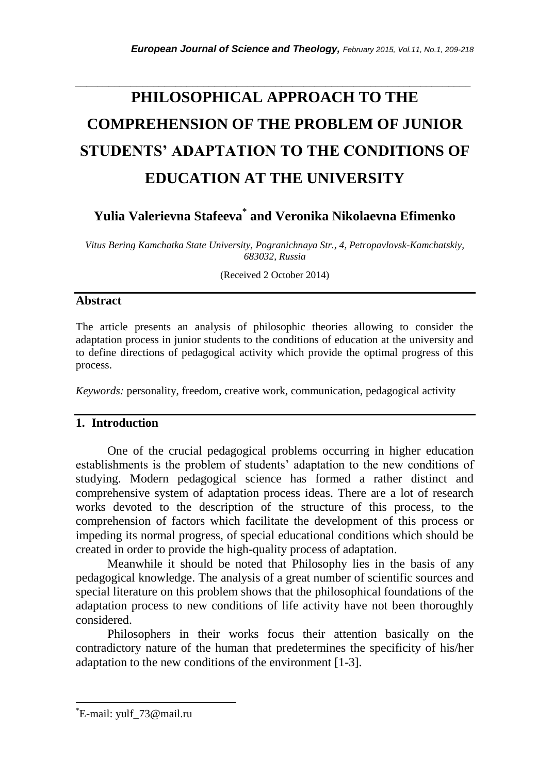# *\_\_\_\_\_\_\_\_\_\_\_\_\_\_\_\_\_\_\_\_\_\_\_\_\_\_\_\_\_\_\_\_\_\_\_\_\_\_\_\_\_\_\_\_\_\_\_\_\_\_\_\_\_\_\_\_\_\_\_\_\_\_\_\_\_\_\_\_\_\_\_* **PHILOSOPHICAL APPROACH TO THE COMPREHENSION OF THE PROBLEM OF JUNIOR STUDENTS' ADAPTATION TO THE CONDITIONS OF EDUCATION AT THE UNIVERSITY**

**Yulia Valerievna Stafeeva\* and Veronika Nikolaevna Efimenko**

*Vitus Bering Kamchatka State University, Pogranichnaya Str., 4, Petropavlovsk-Kamchatskiy, 683032, Russia*

(Received 2 October 2014)

## **Abstract**

The article presents an analysis of philosophic theories allowing to consider the adaptation process in junior students to the conditions of education at the university and to define directions of pedagogical activity which provide the optimal progress of this process.

*Keywords:* personality, freedom, creative work, communication, pedagogical activity

## **1. Introduction**

One of the crucial pedagogical problems occurring in higher education establishments is the problem of students" adaptation to the new conditions of studying. Modern pedagogical science has formed a rather distinct and comprehensive system of adaptation process ideas. There are a lot of research works devoted to the description of the structure of this process, to the comprehension of factors which facilitate the development of this process or impeding its normal progress, of special educational conditions which should be created in order to provide the high-quality process of adaptation.

Meanwhile it should be noted that Philosophy lies in the basis of any pedagogical knowledge. The analysis of a great number of scientific sources and special literature on this problem shows that the philosophical foundations of the adaptation process to new conditions of life activity have not been thoroughly considered.

Philosophers in their works focus their attention basically on the contradictory nature of the human that predetermines the specificity of his/her adaptation to the new conditions of the environment [1-3].

l

<sup>\*</sup>E-mail: yulf\_73@mail.ru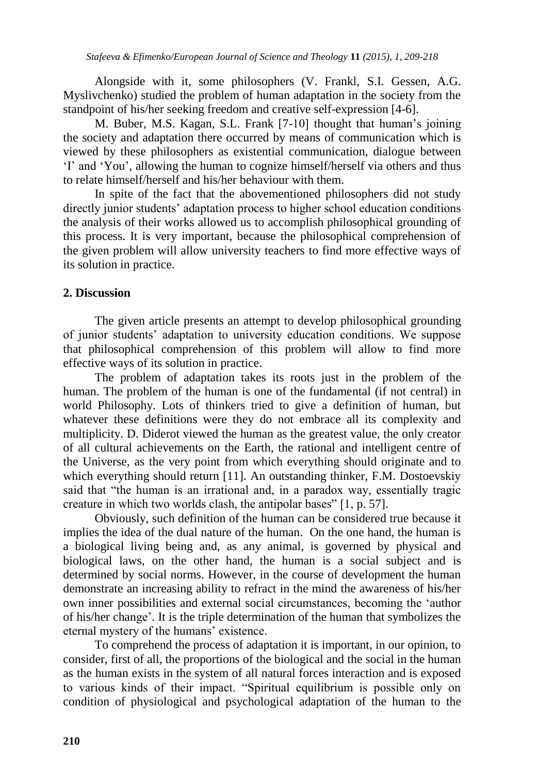Alongside with it, some philosophers (V. Frankl, S.I. Gessen, A.G. Myslivchenko) studied the problem of human adaptation in the society from the standpoint of his/her seeking freedom and creative self-expression [4-6].

M. Buber, M.S. Kagan, S.L. Frank [7-10] thought that human's joining the society and adaptation there occurred by means of communication which is viewed by these philosophers as existential communication, dialogue between "I" and "You", allowing the human to cognize himself/herself via others and thus to relate himself/herself and his/her behaviour with them.

In spite of the fact that the abovementioned philosophers did not study directly junior students' adaptation process to higher school education conditions the analysis of their works allowed us to accomplish philosophical grounding of this process. It is very important, because the philosophical comprehension of the given problem will allow university teachers to find more effective ways of its solution in practice.

### **2. Discussion**

The given article presents an attempt to develop philosophical grounding of junior students" adaptation to university education conditions. We suppose that philosophical comprehension of this problem will allow to find more effective ways of its solution in practice.

The problem of adaptation takes its roots just in the problem of the human. The problem of the human is one of the fundamental (if not central) in world Philosophy. Lots of thinkers tried to give a definition of human, but whatever these definitions were they do not embrace all its complexity and multiplicity. D. Diderot viewed the human as the greatest value, the only creator of all cultural achievements on the Earth, the rational and intelligent centre of the Universe, as the very point from which everything should originate and to which everything should return [11]. An outstanding thinker, F.M. Dostoevskiy said that "the human is an irrational and, in a paradox way, essentially tragic creature in which two worlds clash, the antipolar bases" [1, p. 57].

Obviously, such definition of the human can be considered true because it implies the idea of the dual nature of the human. On the one hand, the human is a biological living being and, as any animal, is governed by physical and biological laws, on the other hand, the human is a social subject and is determined by social norms. However, in the course of development the human demonstrate an increasing ability to refract in the mind the awareness of his/her own inner possibilities and external social circumstances, becoming the "author of his/her change". It is the triple determination of the human that symbolizes the eternal mystery of the humans' existence.

To comprehend the process of adaptation it is important, in our opinion, to consider, first of all, the proportions of the biological and the social in the human as the human exists in the system of all natural forces interaction and is exposed to various kinds of their impact. "Spiritual equilibrium is possible only on condition of physiological and psychological adaptation of the human to the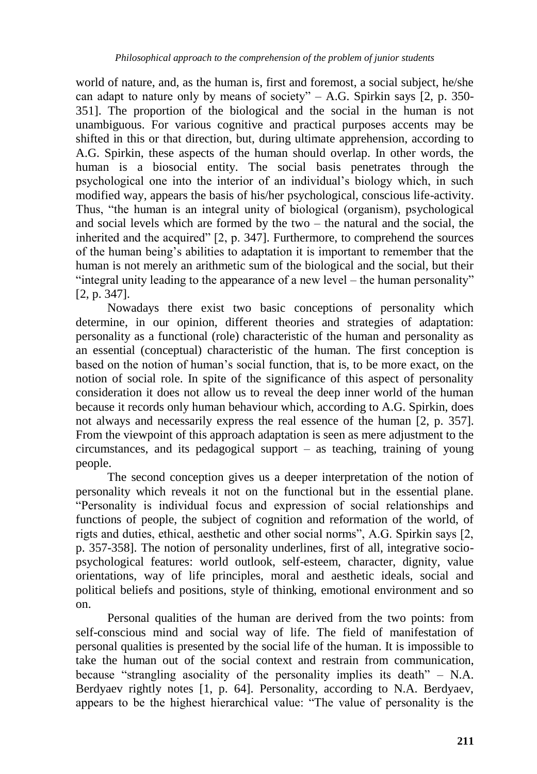world of nature, and, as the human is, first and foremost, a social subject, he/she can adapt to nature only by means of society" – A.G. Spirkin says  $[2, p. 350-$ 351]. The proportion of the biological and the social in the human is not unambiguous. For various cognitive and practical purposes accents may be shifted in this or that direction, but, during ultimate apprehension, according to A.G. Spirkin, these aspects of the human should overlap. In other words, the human is a biosocial entity. The social basis penetrates through the psychological one into the interior of an individual"s biology which, in such modified way, appears the basis of his/her psychological, conscious life-activity. Thus, "the human is an integral unity of biological (organism), psychological and social levels which are formed by the two – the natural and the social, the inherited and the acquired" [2, p. 347]. Furthermore, to comprehend the sources of the human being"s abilities to adaptation it is important to remember that the human is not merely an arithmetic sum of the biological and the social, but their "integral unity leading to the appearance of a new level – the human personality" [2, p. 347].

Nowadays there exist two basic conceptions of personality which determine, in our opinion, different theories and strategies of adaptation: personality as a functional (role) characteristic of the human and personality as an essential (conceptual) characteristic of the human. The first conception is based on the notion of human"s social function, that is, to be more exact, on the notion of social role. In spite of the significance of this aspect of personality consideration it does not allow us to reveal the deep inner world of the human because it records only human behaviour which, according to A.G. Spirkin, does not always and necessarily express the real essence of the human [2, p. 357]. From the viewpoint of this approach adaptation is seen as mere adjustment to the circumstances, and its pedagogical support – as teaching, training of young people.

The second conception gives us a deeper interpretation of the notion of personality which reveals it not on the functional but in the essential plane. "Personality is individual focus and expression of social relationships and functions of people, the subject of cognition and reformation of the world, of rigts and duties, ethical, aesthetic and other social norms", A.G. Spirkin says [2, p. 357-358]. The notion of personality underlines, first of all, integrative sociopsychological features: world outlook, self-esteem, character, dignity, value orientations, way of life principles, moral and aesthetic ideals, social and political beliefs and positions, style of thinking, emotional environment and so on.

Personal qualities of the human are derived from the two points: from self-conscious mind and social way of life. The field of manifestation of personal qualities is presented by the social life of the human. It is impossible to take the human out of the social context and restrain from communication, because "strangling asociality of the personality implies its death" – N.A. Berdyaev rightly notes [1, p. 64]. Personality, according to N.A. Berdyaev, appears to be the highest hierarchical value: "The value of personality is the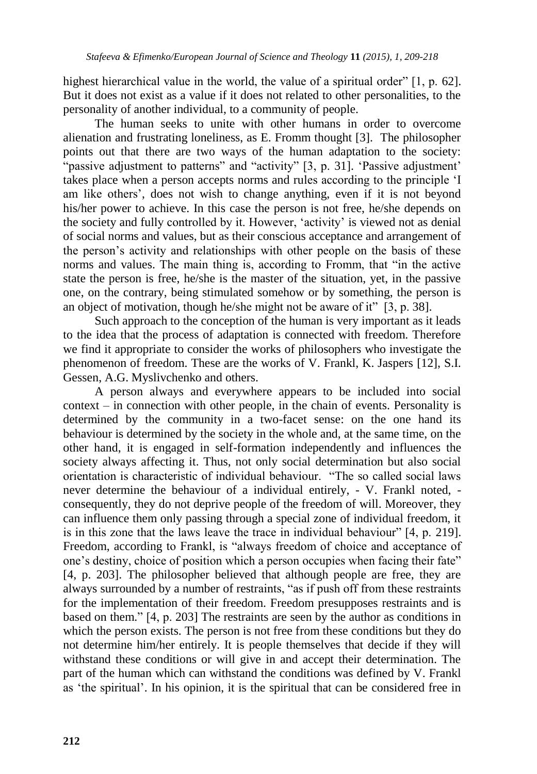highest hierarchical value in the world, the value of a spiritual order" [1, p. 62]. But it does not exist as a value if it does not related to other personalities, to the personality of another individual, to a community of people.

The human seeks to unite with other humans in order to overcome alienation and frustrating loneliness, as E. Fromm thought [3]. The philosopher points out that there are two ways of the human adaptation to the society: "passive adjustment to patterns" and "activity"  $[3, p. 31]$ . 'Passive adjustment' takes place when a person accepts norms and rules according to the principle "I am like others", does not wish to change anything, even if it is not beyond his/her power to achieve. In this case the person is not free, he/she depends on the society and fully controlled by it. However, "activity" is viewed not as denial of social norms and values, but as their conscious acceptance and arrangement of the person"s activity and relationships with other people on the basis of these norms and values. The main thing is, according to Fromm, that "in the active state the person is free, he/she is the master of the situation, yet, in the passive one, on the contrary, being stimulated somehow or by something, the person is an object of motivation, though he/she might not be aware of it" [3, p. 38].

Such approach to the conception of the human is very important as it leads to the idea that the process of adaptation is connected with freedom. Therefore we find it appropriate to consider the works of philosophers who investigate the phenomenon of freedom. These are the works of V. Frankl, K. Jaspers [12], S.I. Gessen, A.G. Myslivchenko and others.

A person always and everywhere appears to be included into social context – in connection with other people, in the chain of events. Personality is determined by the community in a two-facet sense: on the one hand its behaviour is determined by the society in the whole and, at the same time, on the other hand, it is engaged in self-formation independently and influences the society always affecting it. Thus, not only social determination but also social orientation is characteristic of individual behaviour. "The so called social laws never determine the behaviour of a individual entirely, - V. Frankl noted, consequently, they do not deprive people of the freedom of will. Moreover, they can influence them only passing through a special zone of individual freedom, it is in this zone that the laws leave the trace in individual behaviour" [4, p. 219]. Freedom, according to Frankl, is "always freedom of choice and acceptance of one"s destiny, choice of position which a person occupies when facing their fate" [4, p. 203]. The philosopher believed that although people are free, they are always surrounded by a number of restraints, "as if push off from these restraints for the implementation of their freedom. Freedom presupposes restraints and is based on them." [4, p. 203] The restraints are seen by the author as conditions in which the person exists. The person is not free from these conditions but they do not determine him/her entirely. It is people themselves that decide if they will withstand these conditions or will give in and accept their determination. The part of the human which can withstand the conditions was defined by V. Frankl as "the spiritual". In his opinion, it is the spiritual that can be considered free in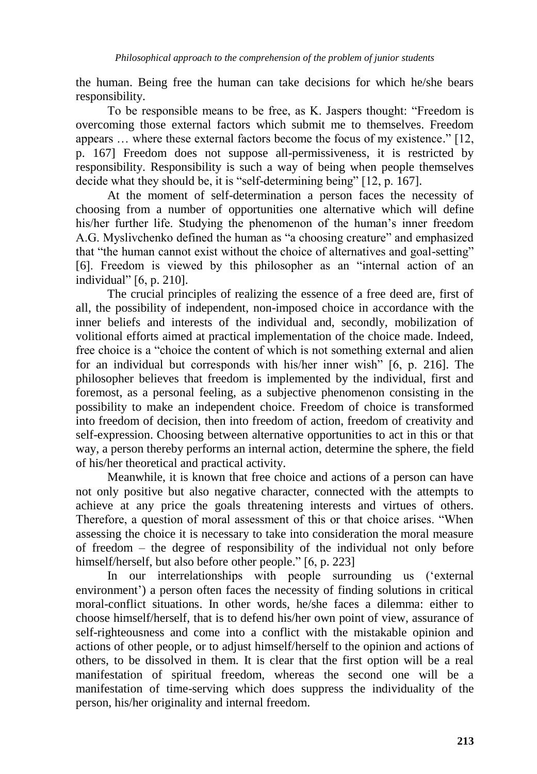the human. Being free the human can take decisions for which he/she bears responsibility.

To be responsible means to be free, as K. Jaspers thought: "Freedom is overcoming those external factors which submit me to themselves. Freedom appears … where these external factors become the focus of my existence." [12, p. 167] Freedom does not suppose all-permissiveness, it is restricted by responsibility. Responsibility is such a way of being when people themselves decide what they should be, it is "self-determining being" [12, p. 167].

At the moment of self-determination a person faces the necessity of choosing from a number of opportunities one alternative which will define his/her further life. Studying the phenomenon of the human"s inner freedom A.G. Myslivchenko defined the human as "a choosing creature" and emphasized that "the human cannot exist without the choice of alternatives and goal-setting" [6]. Freedom is viewed by this philosopher as an "internal action of an individual" [6, p. 210].

The crucial principles of realizing the essence of a free deed are, first of all, the possibility of independent, non-imposed choice in accordance with the inner beliefs and interests of the individual and, secondly, mobilization of volitional efforts aimed at practical implementation of the choice made. Indeed, free choice is a "choice the content of which is not something external and alien for an individual but corresponds with his/her inner wish" [6, p. 216]. The philosopher believes that freedom is implemented by the individual, first and foremost, as a personal feeling, as a subjective phenomenon consisting in the possibility to make an independent choice. Freedom of choice is transformed into freedom of decision, then into freedom of action, freedom of creativity and self-expression. Choosing between alternative opportunities to act in this or that way, a person thereby performs an internal action, determine the sphere, the field of his/her theoretical and practical activity.

Meanwhile, it is known that free choice and actions of a person can have not only positive but also negative character, connected with the attempts to achieve at any price the goals threatening interests and virtues of others. Therefore, a question of moral assessment of this or that choice arises. "When assessing the choice it is necessary to take into consideration the moral measure of freedom – the degree of responsibility of the individual not only before himself/herself, but also before other people." [6, p. 223]

In our interrelationships with people surrounding us ("external environment') a person often faces the necessity of finding solutions in critical moral-conflict situations. In other words, he/she faces a dilemma: either to choose himself/herself, that is to defend his/her own point of view, assurance of self-righteousness and come into a conflict with the mistakable opinion and actions of other people, or to adjust himself/herself to the opinion and actions of others, to be dissolved in them. It is clear that the first option will be a real manifestation of spiritual freedom, whereas the second one will be a manifestation of time-serving which does suppress the individuality of the person, his/her originality and internal freedom.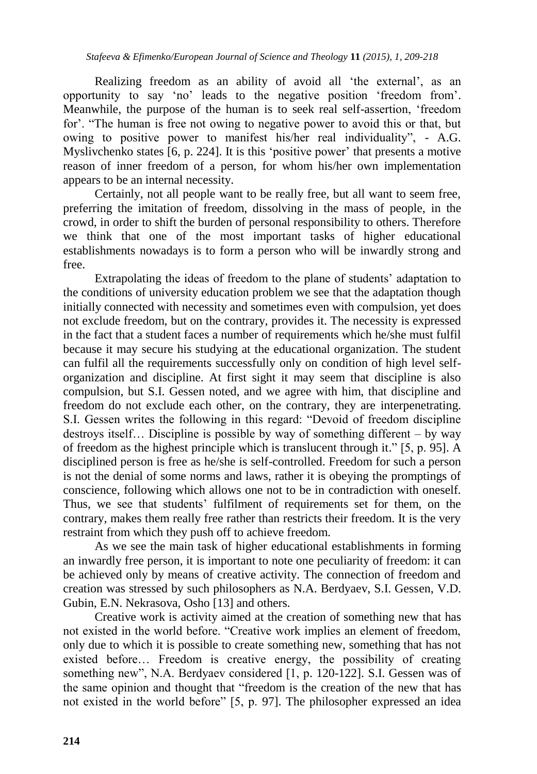Realizing freedom as an ability of avoid all 'the external', as an opportunity to say "no" leads to the negative position "freedom from". Meanwhile, the purpose of the human is to seek real self-assertion, "freedom for'. "The human is free not owing to negative power to avoid this or that, but owing to positive power to manifest his/her real individuality", - A.G. Myslivchenko states  $\overline{6}$ , p. 224. It is this 'positive power' that presents a motive reason of inner freedom of a person, for whom his/her own implementation appears to be an internal necessity.

Certainly, not all people want to be really free, but all want to seem free, preferring the imitation of freedom, dissolving in the mass of people, in the crowd, in order to shift the burden of personal responsibility to others. Therefore we think that one of the most important tasks of higher educational establishments nowadays is to form a person who will be inwardly strong and free.

Extrapolating the ideas of freedom to the plane of students" adaptation to the conditions of university education problem we see that the adaptation though initially connected with necessity and sometimes even with compulsion, yet does not exclude freedom, but on the contrary, provides it. The necessity is expressed in the fact that a student faces a number of requirements which he/she must fulfil because it may secure his studying at the educational organization. The student can fulfil all the requirements successfully only on condition of high level selforganization and discipline. At first sight it may seem that discipline is also compulsion, but S.I. Gessen noted, and we agree with him, that discipline and freedom do not exclude each other, on the contrary, they are interpenetrating. S.I. Gessen writes the following in this regard: "Devoid of freedom discipline destroys itself… Discipline is possible by way of something different – by way of freedom as the highest principle which is translucent through it." [5, p. 95]. A disciplined person is free as he/she is self-controlled. Freedom for such a person is not the denial of some norms and laws, rather it is obeying the promptings of conscience, following which allows one not to be in contradiction with oneself. Thus, we see that students' fulfilment of requirements set for them, on the contrary, makes them really free rather than restricts their freedom. It is the very restraint from which they push off to achieve freedom.

As we see the main task of higher educational establishments in forming an inwardly free person, it is important to note one peculiarity of freedom: it can be achieved only by means of creative activity. The connection of freedom and creation was stressed by such philosophers as N.A. Berdyaev, S.I. Gessen, V.D. Gubin, E.N. Nekrasova, Osho [13] and others.

Creative work is activity aimed at the creation of something new that has not existed in the world before. "Creative work implies an element of freedom, only due to which it is possible to create something new, something that has not existed before… Freedom is creative energy, the possibility of creating something new", N.A. Berdyaev considered [1, p. 120-122]. S.I. Gessen was of the same opinion and thought that "freedom is the creation of the new that has not existed in the world before" [5, p. 97]. The philosopher expressed an idea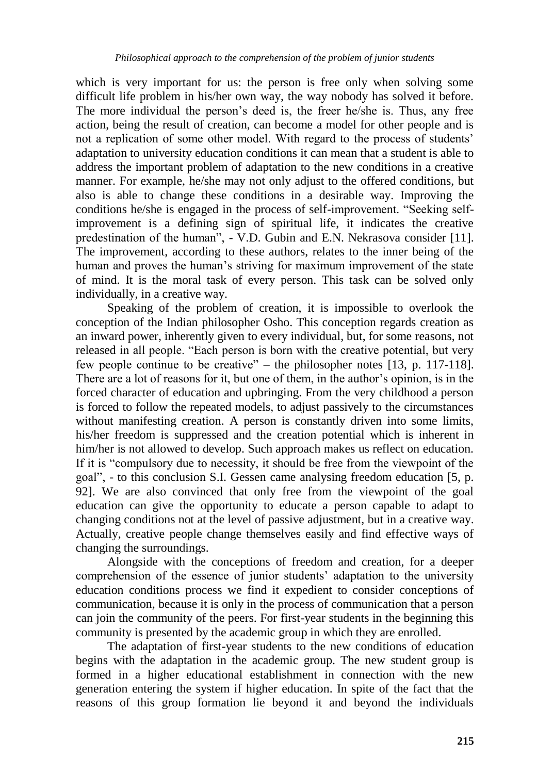which is very important for us: the person is free only when solving some difficult life problem in his/her own way, the way nobody has solved it before. The more individual the person's deed is, the freer he/she is. Thus, any free action, being the result of creation, can become a model for other people and is not a replication of some other model. With regard to the process of students' adaptation to university education conditions it can mean that a student is able to address the important problem of adaptation to the new conditions in a creative manner. For example, he/she may not only adjust to the offered conditions, but also is able to change these conditions in a desirable way. Improving the conditions he/she is engaged in the process of self-improvement. "Seeking selfimprovement is a defining sign of spiritual life, it indicates the creative predestination of the human", - V.D. Gubin and E.N. Nekrasova consider [11]. The improvement, according to these authors, relates to the inner being of the human and proves the human"s striving for maximum improvement of the state of mind. It is the moral task of every person. This task can be solved only individually, in a creative way.

Speaking of the problem of creation, it is impossible to overlook the conception of the Indian philosopher Osho. This conception regards creation as an inward power, inherently given to every individual, but, for some reasons, not released in all people. "Each person is born with the creative potential, but very few people continue to be creative" – the philosopher notes [13, p. 117-118]. There are a lot of reasons for it, but one of them, in the author"s opinion, is in the forced character of education and upbringing. From the very childhood a person is forced to follow the repeated models, to adjust passively to the circumstances without manifesting creation. A person is constantly driven into some limits, his/her freedom is suppressed and the creation potential which is inherent in him/her is not allowed to develop. Such approach makes us reflect on education. If it is "compulsory due to necessity, it should be free from the viewpoint of the goal", - to this conclusion S.I. Gessen came analysing freedom education [5, p. 92]. We are also convinced that only free from the viewpoint of the goal education can give the opportunity to educate a person capable to adapt to changing conditions not at the level of passive adjustment, but in a creative way. Actually, creative people change themselves easily and find effective ways of changing the surroundings.

Alongside with the conceptions of freedom and creation, for a deeper comprehension of the essence of junior students" adaptation to the university education conditions process we find it expedient to consider conceptions of communication, because it is only in the process of communication that a person can join the community of the peers. For first-year students in the beginning this community is presented by the academic group in which they are enrolled.

The adaptation of first-year students to the new conditions of education begins with the adaptation in the academic group. The new student group is formed in a higher educational establishment in connection with the new generation entering the system if higher education. In spite of the fact that the reasons of this group formation lie beyond it and beyond the individuals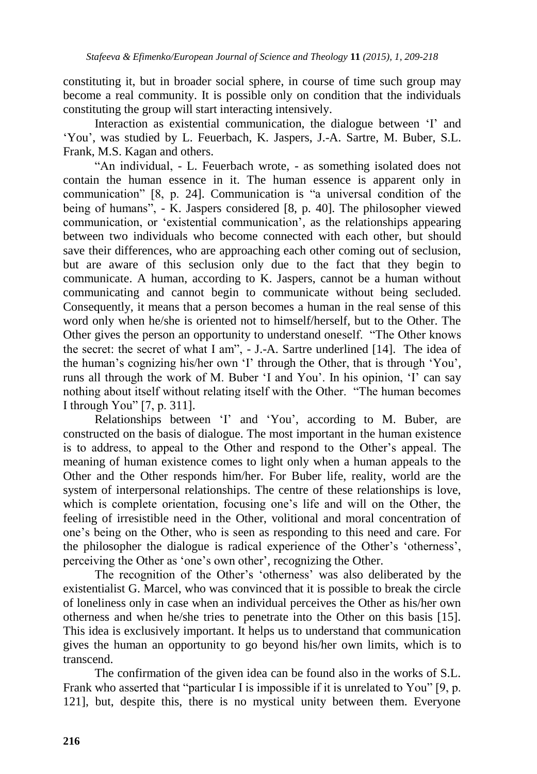constituting it, but in broader social sphere, in course of time such group may become a real community. It is possible only on condition that the individuals constituting the group will start interacting intensively.

Interaction as existential communication, the dialogue between 'I' and "You", was studied by L. Feuerbach, K. Jaspers, J.-A. Sartre, M. Buber, S.L. Frank, M.S. Kagan and others.

"An individual, - L. Feuerbach wrote, - as something isolated does not contain the human essence in it. The human essence is apparent only in communication" [8, p. 24]. Communication is "a universal condition of the being of humans",  $\overline{\phantom{a}}$ . K. Jaspers considered [8, p. 40]. The philosopher viewed communication, or "existential communication", as the relationships appearing between two individuals who become connected with each other, but should save their differences, who are approaching each other coming out of seclusion, but are aware of this seclusion only due to the fact that they begin to communicate. A human, according to K. Jaspers, cannot be a human without communicating and cannot begin to communicate without being secluded. Consequently, it means that a person becomes a human in the real sense of this word only when he/she is oriented not to himself/herself, but to the Other. The Other gives the person an opportunity to understand oneself. "The Other knows the secret: the secret of what I am", - J.-A. Sartre underlined [14]. The idea of the human"s cognizing his/her own "I" through the Other, that is through "You", runs all through the work of M. Buber "I and You". In his opinion, "I" can say nothing about itself without relating itself with the Other. "The human becomes I through You" [7, p. 311].

Relationships between 'I' and 'You', according to M. Buber, are constructed on the basis of dialogue. The most important in the human existence is to address, to appeal to the Other and respond to the Other"s appeal. The meaning of human existence comes to light only when a human appeals to the Other and the Other responds him/her. For Buber life, reality, world are the system of interpersonal relationships. The centre of these relationships is love, which is complete orientation, focusing one's life and will on the Other, the feeling of irresistible need in the Other, volitional and moral concentration of one"s being on the Other, who is seen as responding to this need and care. For the philosopher the dialogue is radical experience of the Other"s "otherness", perceiving the Other as "one"s own other", recognizing the Other.

The recognition of the Other"s "otherness" was also deliberated by the existentialist G. Marcel, who was convinced that it is possible to break the circle of loneliness only in case when an individual perceives the Other as his/her own otherness and when he/she tries to penetrate into the Other on this basis [15]. This idea is exclusively important. It helps us to understand that communication gives the human an opportunity to go beyond his/her own limits, which is to transcend.

The confirmation of the given idea can be found also in the works of S.L. Frank who asserted that "particular I is impossible if it is unrelated to You" [9, p. 121], but, despite this, there is no mystical unity between them. Everyone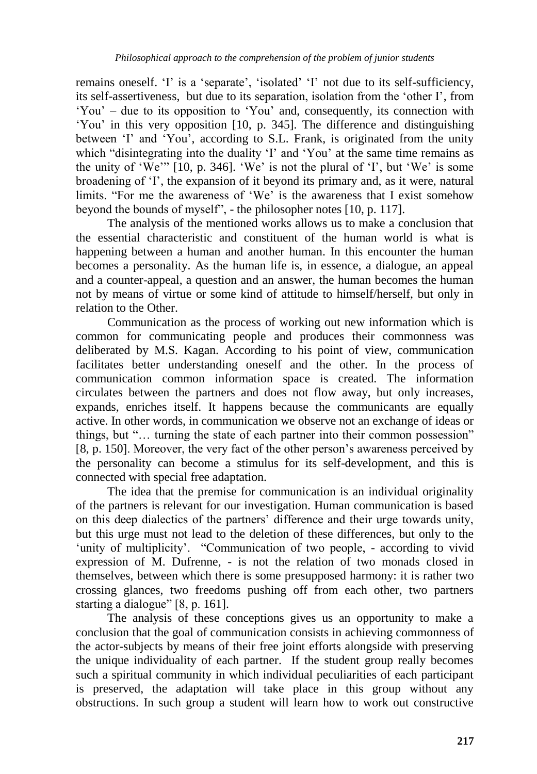remains oneself. 'I' is a 'separate', 'isolated' 'I' not due to its self-sufficiency, its self-assertiveness, but due to its separation, isolation from the "other I", from "You" – due to its opposition to "You" and, consequently, its connection with "You" in this very opposition [10, p. 345]. The difference and distinguishing between 'I' and 'You', according to S.L. Frank, is originated from the unity which "disintegrating into the duality 'I' and 'You' at the same time remains as the unity of 'We'"  $[10, p. 346]$ . 'We' is not the plural of 'I', but 'We' is some broadening of 'I', the expansion of it beyond its primary and, as it were, natural limits. "For me the awareness of "We" is the awareness that I exist somehow beyond the bounds of myself", - the philosopher notes [10, p. 117].

The analysis of the mentioned works allows us to make a conclusion that the essential characteristic and constituent of the human world is what is happening between a human and another human. In this encounter the human becomes a personality. As the human life is, in essence, a dialogue, an appeal and a counter-appeal, a question and an answer, the human becomes the human not by means of virtue or some kind of attitude to himself/herself, but only in relation to the Other.

Communication as the process of working out new information which is common for communicating people and produces their commonness was deliberated by M.S. Kagan. According to his point of view, communication facilitates better understanding oneself and the other. In the process of communication common information space is created. The information circulates between the partners and does not flow away, but only increases, expands, enriches itself. It happens because the communicants are equally active. In other words, in communication we observe not an exchange of ideas or things, but "… turning the state of each partner into their common possession" [8, p. 150]. Moreover, the very fact of the other person's awareness perceived by the personality can become a stimulus for its self-development, and this is connected with special free adaptation.

The idea that the premise for communication is an individual originality of the partners is relevant for our investigation. Human communication is based on this deep dialectics of the partners" difference and their urge towards unity, but this urge must not lead to the deletion of these differences, but only to the 'unity of multiplicity'. "Communication of two people, - according to vivid expression of M. Dufrenne, - is not the relation of two monads closed in themselves, between which there is some presupposed harmony: it is rather two crossing glances, two freedoms pushing off from each other, two partners starting a dialogue" [8, p. 161].

The analysis of these conceptions gives us an opportunity to make a conclusion that the goal of communication consists in achieving commonness of the actor-subjects by means of their free joint efforts alongside with preserving the unique individuality of each partner. If the student group really becomes such a spiritual community in which individual peculiarities of each participant is preserved, the adaptation will take place in this group without any obstructions. In such group a student will learn how to work out constructive